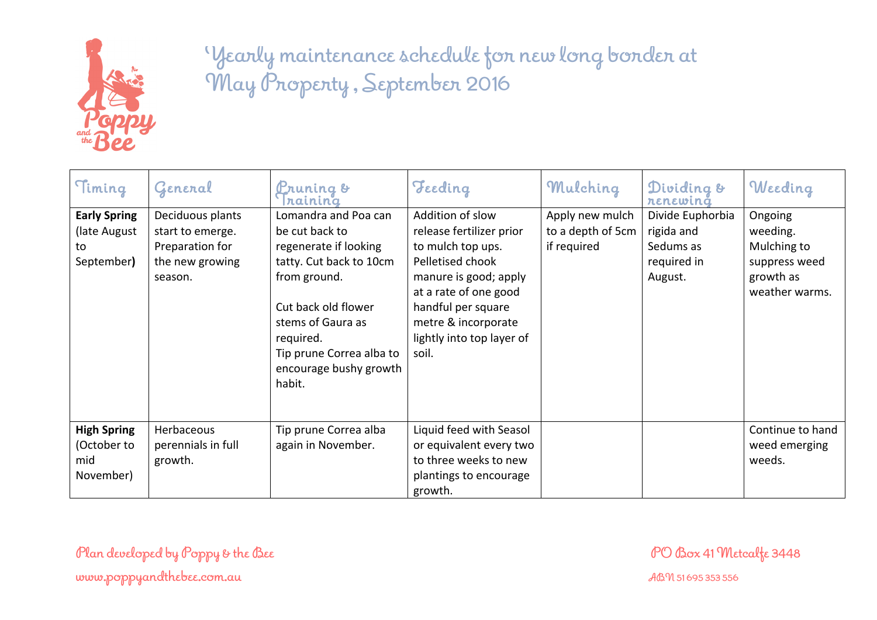

| Timing                                                   | General                                                                               | <b>Pruning &amp;</b><br>nainina                                                                                                                                                                                                     | Teeding                                                                                                                                                                                                                    | Mulching                                            | Dividing &<br>renewing                                                | Weeding                                                                            |
|----------------------------------------------------------|---------------------------------------------------------------------------------------|-------------------------------------------------------------------------------------------------------------------------------------------------------------------------------------------------------------------------------------|----------------------------------------------------------------------------------------------------------------------------------------------------------------------------------------------------------------------------|-----------------------------------------------------|-----------------------------------------------------------------------|------------------------------------------------------------------------------------|
| <b>Early Spring</b><br>(late August)<br>to<br>September) | Deciduous plants<br>start to emerge.<br>Preparation for<br>the new growing<br>season. | Lomandra and Poa can<br>be cut back to<br>regenerate if looking<br>tatty. Cut back to 10cm<br>from ground.<br>Cut back old flower<br>stems of Gaura as<br>required.<br>Tip prune Correa alba to<br>encourage bushy growth<br>habit. | Addition of slow<br>release fertilizer prior<br>to mulch top ups.<br>Pelletised chook<br>manure is good; apply<br>at a rate of one good<br>handful per square<br>metre & incorporate<br>lightly into top layer of<br>soil. | Apply new mulch<br>to a depth of 5cm<br>if required | Divide Euphorbia<br>rigida and<br>Sedums as<br>required in<br>August. | Ongoing<br>weeding.<br>Mulching to<br>suppress weed<br>growth as<br>weather warms. |
| <b>High Spring</b><br>(October to<br>mid<br>November)    | Herbaceous<br>perennials in full<br>growth.                                           | Tip prune Correa alba<br>again in November.                                                                                                                                                                                         | Liquid feed with Seasol<br>or equivalent every two<br>to three weeks to new<br>plantings to encourage<br>growth.                                                                                                           |                                                     |                                                                       | Continue to hand<br>weed emerging<br>weeds.                                        |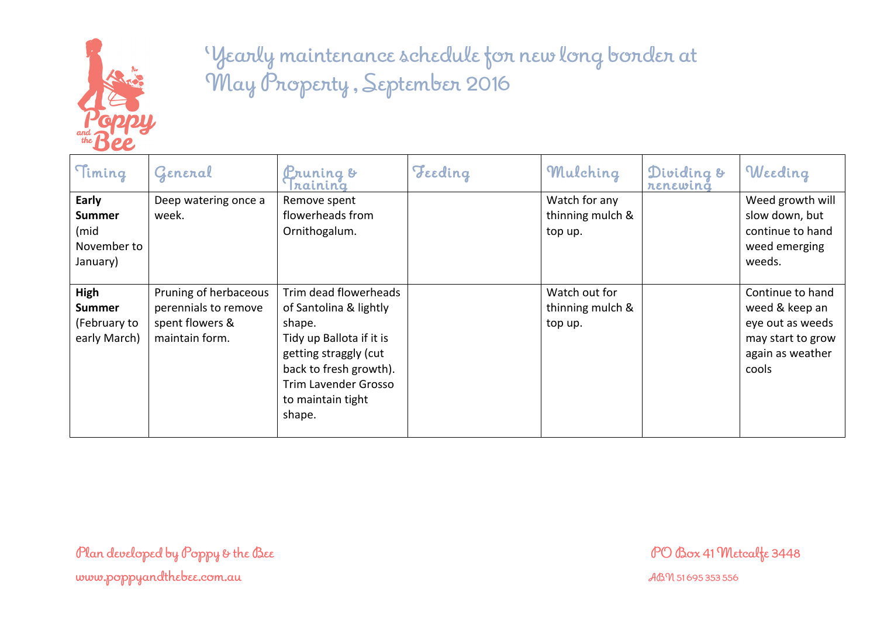

| Timing                                                    | General                                                                            | <b>Pruning &amp;</b><br>naining                                                                                                                                                                        | Teeding | Mulching                                     | Dividing &<br>renewing | Weeding                                                                                                  |
|-----------------------------------------------------------|------------------------------------------------------------------------------------|--------------------------------------------------------------------------------------------------------------------------------------------------------------------------------------------------------|---------|----------------------------------------------|------------------------|----------------------------------------------------------------------------------------------------------|
| Early<br><b>Summer</b><br>(mid<br>November to<br>January) | Deep watering once a<br>week.                                                      | Remove spent<br>flowerheads from<br>Ornithogalum.                                                                                                                                                      |         | Watch for any<br>thinning mulch &<br>top up. |                        | Weed growth will<br>slow down, but<br>continue to hand<br>weed emerging<br>weeds.                        |
| High<br><b>Summer</b><br>(February to<br>early March)     | Pruning of herbaceous<br>perennials to remove<br>spent flowers &<br>maintain form. | Trim dead flowerheads<br>of Santolina & lightly<br>shape.<br>Tidy up Ballota if it is<br>getting straggly (cut<br>back to fresh growth).<br><b>Trim Lavender Grosso</b><br>to maintain tight<br>shape. |         | Watch out for<br>thinning mulch &<br>top up. |                        | Continue to hand<br>weed & keep an<br>eye out as weeds<br>may start to grow<br>again as weather<br>cools |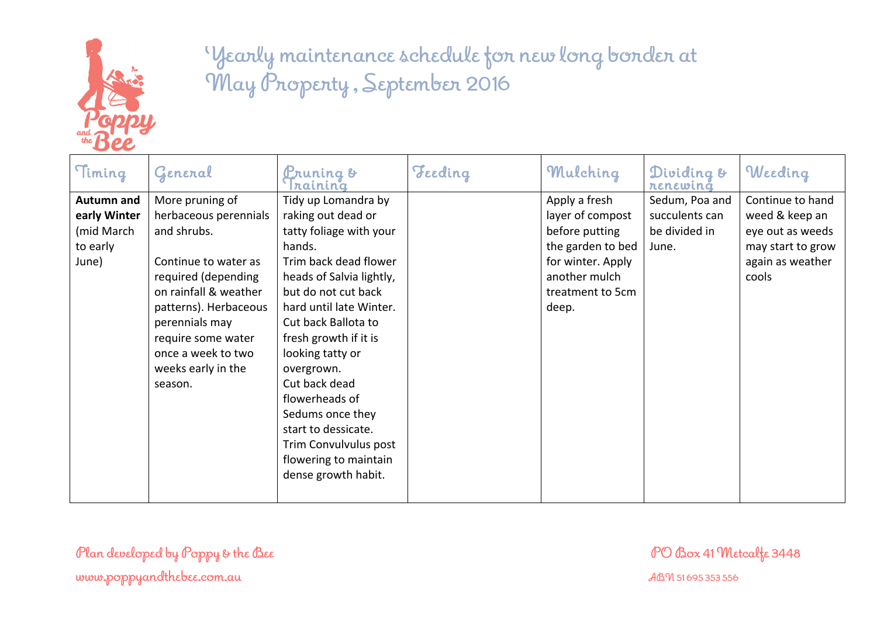

| More pruning of<br>Tidy up Lomandra by<br>Sedum, Poa and<br><b>Autumn and</b><br>Apply a fresh<br>raking out dead or<br>herbaceous perennials<br>layer of compost<br>succulents can<br>early Winter<br>before putting<br>(mid March<br>and shrubs.<br>tatty foliage with your<br>be divided in<br>the garden to bed<br>hands.<br>to early<br>June.<br>Continue to water as<br>Trim back dead flower<br>for winter. Apply<br>June)<br>another mulch<br>heads of Salvia lightly,<br>required (depending<br>cools<br>on rainfall & weather<br>but do not cut back<br>treatment to 5cm<br>hard until late Winter.<br>patterns). Herbaceous<br>deep.<br>perennials may<br>Cut back Ballota to<br>require some water<br>fresh growth if it is<br>once a week to two<br>looking tatty or<br>weeks early in the<br>overgrown.<br>Cut back dead<br>season.<br>flowerheads of | Timing | General | <u>P</u> runing &<br>nainina | Teeding | Mulching | Dividing &<br>renewing | Weeding                                                                                         |
|---------------------------------------------------------------------------------------------------------------------------------------------------------------------------------------------------------------------------------------------------------------------------------------------------------------------------------------------------------------------------------------------------------------------------------------------------------------------------------------------------------------------------------------------------------------------------------------------------------------------------------------------------------------------------------------------------------------------------------------------------------------------------------------------------------------------------------------------------------------------|--------|---------|------------------------------|---------|----------|------------------------|-------------------------------------------------------------------------------------------------|
| start to dessicate.<br>Trim Convulvulus post<br>flowering to maintain<br>dense growth habit.                                                                                                                                                                                                                                                                                                                                                                                                                                                                                                                                                                                                                                                                                                                                                                        |        |         | Sedums once they             |         |          |                        | Continue to hand<br>weed & keep an<br>eye out as weeds<br>may start to grow<br>again as weather |